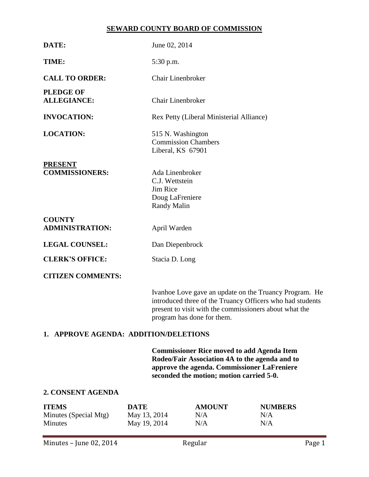## **SEWARD COUNTY BOARD OF COMMISSION**

| DATE:                                   | June 02, 2014                                                                   |  |  |
|-----------------------------------------|---------------------------------------------------------------------------------|--|--|
| TIME:                                   | 5:30 p.m.                                                                       |  |  |
| <b>CALL TO ORDER:</b>                   | <b>Chair Linenbroker</b>                                                        |  |  |
| <b>PLEDGE OF</b><br><b>ALLEGIANCE:</b>  | <b>Chair Linenbroker</b>                                                        |  |  |
| <b>INVOCATION:</b>                      | Rex Petty (Liberal Ministerial Alliance)                                        |  |  |
| <b>LOCATION:</b>                        | 515 N. Washington<br><b>Commission Chambers</b><br>Liberal, KS 67901            |  |  |
| <b>PRESENT</b><br><b>COMMISSIONERS:</b> | Ada Linenbroker<br>C.J. Wettstein<br>Jim Rice<br>Doug LaFreniere<br>Randy Malin |  |  |
| <b>COUNTY</b><br><b>ADMINISTRATION:</b> | April Warden                                                                    |  |  |
| <b>LEGAL COUNSEL:</b>                   | Dan Diepenbrock                                                                 |  |  |
| <b>CLERK'S OFFICE:</b>                  | Stacia D. Long                                                                  |  |  |
| <b>CITIZEN COMMENTS:</b>                |                                                                                 |  |  |
|                                         | Ivanhoe Love gave an undate on the Truancy Progra                               |  |  |

Ivanhoe Love gave an update on the Truancy Program. He introduced three of the Truancy Officers who had students present to visit with the commissioners about what the program has done for them.

# **1. APPROVE AGENDA: ADDITION/DELETIONS**

**Commissioner Rice moved to add Agenda Item Rodeo/Fair Association 4A to the agenda and to approve the agenda. Commissioner LaFreniere seconded the motion; motion carried 5-0.**

# **2. CONSENT AGENDA**

| <b>ITEMS</b>          | DATE         | <b>AMOUNT</b> | <b>NUMBERS</b> |
|-----------------------|--------------|---------------|----------------|
| Minutes (Special Mtg) | May 13, 2014 | N/A           | N/A            |
| Minutes               | May 19, 2014 | N/A           | N/A            |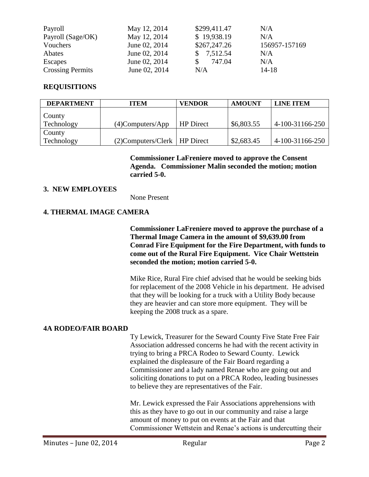| Payroll                 | May 12, 2014  | \$299,411.47 | N/A           |
|-------------------------|---------------|--------------|---------------|
| Payroll (Sage/OK)       | May 12, 2014  | \$19,938.19  | N/A           |
| Vouchers                | June 02, 2014 | \$267,247.26 | 156957-157169 |
| Abates                  | June 02, 2014 | 7,512.54     | N/A           |
| Escapes                 | June 02, 2014 | 747.04       | N/A           |
| <b>Crossing Permits</b> | June 02, 2014 | N/A          | $14 - 18$     |

# **REQUISITIONS**

| <b>DEPARTMENT</b> | <b>ITEM</b>                       | <b>VENDOR</b>    | <b>AMOUNT</b> | <b>LINE ITEM</b> |
|-------------------|-----------------------------------|------------------|---------------|------------------|
| <b>County</b>     |                                   |                  |               |                  |
| Technology        | $(4)$ Computers/App               | <b>HP</b> Direct | \$6,803.55    | 4-100-31166-250  |
| <b>County</b>     |                                   |                  |               |                  |
| Technology        | $(2)$ Computers/Clerk   HP Direct |                  | \$2,683.45    | 4-100-31166-250  |

**Commissioner LaFreniere moved to approve the Consent Agenda. Commissioner Malin seconded the motion; motion carried 5-0.**

### **3. NEW EMPLOYEES**

None Present

## **4. THERMAL IMAGE CAMERA**

**Commissioner LaFreniere moved to approve the purchase of a Thermal Image Camera in the amount of \$9,639.00 from Conrad Fire Equipment for the Fire Department, with funds to come out of the Rural Fire Equipment. Vice Chair Wettstein seconded the motion; motion carried 5-0.**

Mike Rice, Rural Fire chief advised that he would be seeking bids for replacement of the 2008 Vehicle in his department. He advised that they will be looking for a truck with a Utility Body because they are heavier and can store more equipment. They will be keeping the 2008 truck as a spare.

### **4A RODEO/FAIR BOARD**

Ty Lewick, Treasurer for the Seward County Five State Free Fair Association addressed concerns he had with the recent activity in trying to bring a PRCA Rodeo to Seward County. Lewick explained the displeasure of the Fair Board regarding a Commissioner and a lady named Renae who are going out and soliciting donations to put on a PRCA Rodeo, leading businesses to believe they are representatives of the Fair.

Mr. Lewick expressed the Fair Associations apprehensions with this as they have to go out in our community and raise a large amount of money to put on events at the Fair and that Commissioner Wettstein and Renae's actions is undercutting their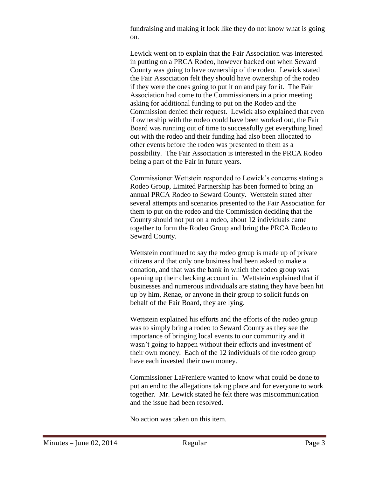fundraising and making it look like they do not know what is going on.

Lewick went on to explain that the Fair Association was interested in putting on a PRCA Rodeo, however backed out when Seward County was going to have ownership of the rodeo. Lewick stated the Fair Association felt they should have ownership of the rodeo if they were the ones going to put it on and pay for it. The Fair Association had come to the Commissioners in a prior meeting asking for additional funding to put on the Rodeo and the Commission denied their request. Lewick also explained that even if ownership with the rodeo could have been worked out, the Fair Board was running out of time to successfully get everything lined out with the rodeo and their funding had also been allocated to other events before the rodeo was presented to them as a possibility. The Fair Association is interested in the PRCA Rodeo being a part of the Fair in future years.

Commissioner Wettstein responded to Lewick's concerns stating a Rodeo Group, Limited Partnership has been formed to bring an annual PRCA Rodeo to Seward County. Wettstein stated after several attempts and scenarios presented to the Fair Association for them to put on the rodeo and the Commission deciding that the County should not put on a rodeo, about 12 individuals came together to form the Rodeo Group and bring the PRCA Rodeo to Seward County.

Wettstein continued to say the rodeo group is made up of private citizens and that only one business had been asked to make a donation, and that was the bank in which the rodeo group was opening up their checking account in. Wettstein explained that if businesses and numerous individuals are stating they have been hit up by him, Renae, or anyone in their group to solicit funds on behalf of the Fair Board, they are lying.

Wettstein explained his efforts and the efforts of the rodeo group was to simply bring a rodeo to Seward County as they see the importance of bringing local events to our community and it wasn't going to happen without their efforts and investment of their own money. Each of the 12 individuals of the rodeo group have each invested their own money.

Commissioner LaFreniere wanted to know what could be done to put an end to the allegations taking place and for everyone to work together. Mr. Lewick stated he felt there was miscommunication and the issue had been resolved.

No action was taken on this item.